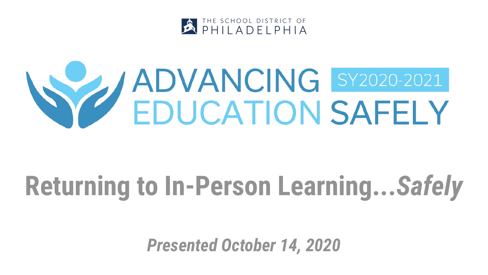

# **SEP YADVANCING SY2020-2021**

### **Returning to In-Person Learning...***Safely*

*Presented October 14, 2020*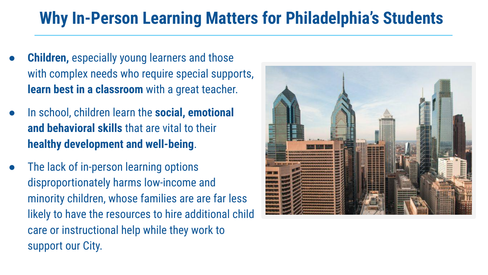#### **Why In-Person Learning Matters for Philadelphia's Students**

- **Children, especially young learners and those** with complex needs who require special supports, **learn best in a classroom** with a great teacher.
- In school, children learn the **social, emotional and behavioral skills** that are vital to their **healthy development and well-being**.
- The lack of in-person learning options disproportionately harms low-income and minority children, whose families are are far less likely to have the resources to hire additional child care or instructional help while they work to support our City.

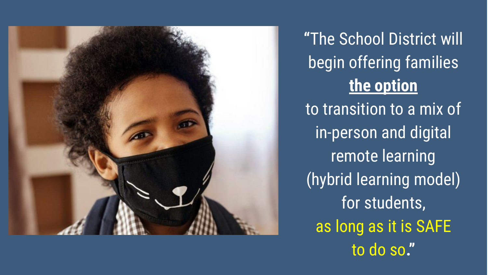

**"**The School District will begin offering families **the option** to transition to a mix of in-person and digital remote learning (hybrid learning model) for students, as long as it is SAFE to do so**."**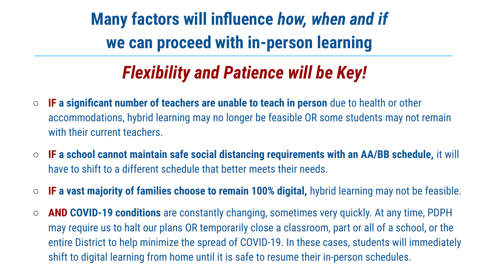**Many factors will influence** *how, when and if*  **we can proceed with in-person learning** 

#### *Flexibility and Patience will be Key!*

- **IF a significant number of teachers are unable to teach in person** due to health or other accommodations, hybrid learning may no longer be feasible OR some students may not remain with their current teachers.
- **IF a school cannot maintain safe social distancing requirements with an AA/BB schedule,** it will have to shift to a different schedule that better meets their needs.
- **IF a vast majority of families choose to remain 100% digital,** hybrid learning may not be feasible.
- **AND COVID-19 conditions** are constantly changing, sometimes very quickly. At any time, PDPH may require us to halt our plans OR temporarily close a classroom, part or all of a school, or the entire District to help minimize the spread of COVID-19. In these cases, students will immediately shift to digital learning from home until it is safe to resume their in-person schedules.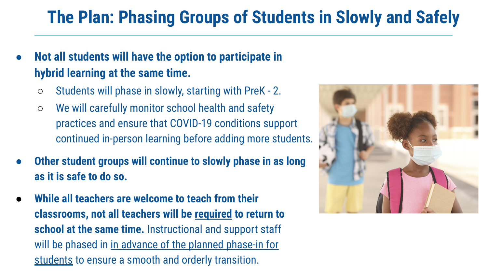#### **The Plan: Phasing Groups of Students in Slowly and Safely**

- **Not all students will have the option to participate in hybrid learning at the same time.** 
	- Students will phase in slowly, starting with PreK 2.
	- We will carefully monitor school health and safety practices and ensure that COVID-19 conditions support continued in-person learning before adding more students.
- **Other student groups will continue to slowly phase in as long as it is safe to do so.**
- **While all teachers are welcome to teach from their classrooms, not all teachers will be required to return to school at the same time.** Instructional and support staff will be phased in in advance of the planned phase-in for students to ensure a smooth and orderly transition.

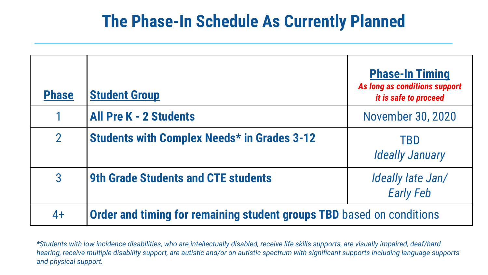#### **The Phase-In Schedule As Currently Planned**

| <b>Phase</b>   | <b>Student Group</b>                                                  | <b>Phase-In Timing</b><br>As long as conditions support<br>it is safe to proceed |  |
|----------------|-----------------------------------------------------------------------|----------------------------------------------------------------------------------|--|
| 1              | <b>All Pre K - 2 Students</b>                                         | <b>November 30, 2020</b>                                                         |  |
| $\overline{2}$ | <b>Students with Complex Needs* in Grades 3-12</b>                    | <b>TBD</b><br><b>Ideally January</b>                                             |  |
| 3              | <b>9th Grade Students and CTE students</b>                            | Ideally late Jan/<br><b>Early Feb</b>                                            |  |
| $4+$           | Order and timing for remaining student groups TBD based on conditions |                                                                                  |  |

*\*Students with low incidence disabilities, who are intellectually disabled, receive life skills supports, are visually impaired, deaf/hard hearing, receive multiple disability support, are autistic and/or on autistic spectrum with significant supports including language supports and physical support.*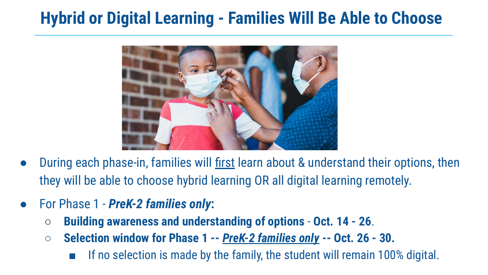#### **Hybrid or Digital Learning - Families Will Be Able to Choose**



- During each phase-in, families will first learn about & understand their options, then they will be able to choose hybrid learning OR all digital learning remotely.
- For Phase 1 *PreK-2 families only***:**
	- **Building awareness and understanding of options Oct. 14 26**.
	- **○ Selection window for Phase 1 --** *PreK-2 families only* **-- Oct. 26 30.** 
		- If no selection is made by the family, the student will remain 100% digital.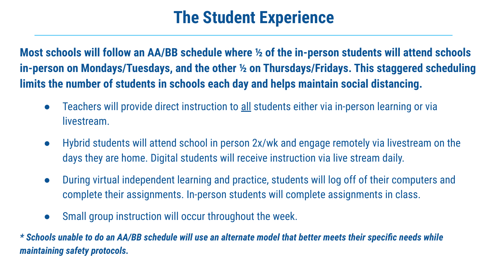#### **The Student Experience**

**Most schools will follow an AA/BB schedule where ½ of the in-person students will attend schools in-person on Mondays/Tuesdays, and the other ½ on Thursdays/Fridays. This staggered scheduling limits the number of students in schools each day and helps maintain social distancing.** 

- Teachers will provide direct instruction to all students either via in-person learning or via livestream.
- Hybrid students will attend school in person 2x/wk and engage remotely via livestream on the days they are home. Digital students will receive instruction via live stream daily.
- During virtual independent learning and practice, students will log off of their computers and complete their assignments. In-person students will complete assignments in class.
- Small group instruction will occur throughout the week.

*\* Schools unable to do an AA/BB schedule will use an alternate model that better meets their specific needs while maintaining safety protocols.*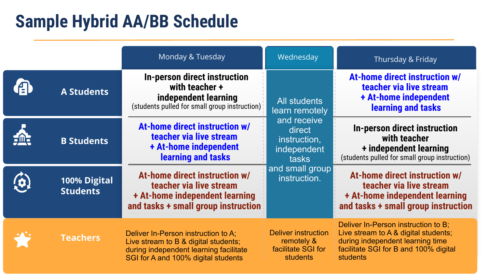#### **Sample Hybrid AA/BB Schedule**

|                                 | Monday & Tuesday                                                                                                                                             | Wednesday                                                                                              | Thursday & Friday                                                                                                                                                    |
|---------------------------------|--------------------------------------------------------------------------------------------------------------------------------------------------------------|--------------------------------------------------------------------------------------------------------|----------------------------------------------------------------------------------------------------------------------------------------------------------------------|
| <b>A Students</b>               | In-person direct instruction<br>with teacher +<br>independent learning<br>(students pulled for small group instruction)                                      | All students<br>learn remotely<br>and receive<br>direct<br>instruction,<br>independent<br><b>tasks</b> | At-home direct instruction w/<br>teacher via live stream<br>+ At-home independent<br>learning and tasks                                                              |
| <b>B Students</b>               | At-home direct instruction w/<br>teacher via live stream<br>+ At-home independent<br>learning and tasks                                                      |                                                                                                        | In-person direct instruction<br>with teacher<br>+ independent learning<br>(students pulled for small group instruction)                                              |
| 100% Digital<br><b>Students</b> | At-home direct instruction w/<br>teacher via live stream<br>+ At-home independent learning<br>and tasks + small group instruction                            | and small group<br>instruction.                                                                        | At-home direct instruction w/<br>teacher via live stream<br>+ At-home independent learning<br>and tasks + small group instruction                                    |
| <b>Teachers</b>                 | Deliver In-Person instruction to A;<br>Live stream to B & digital students;<br>during independent learning facilitate<br>SGI for A and 100% digital students | <b>Deliver instruction</b><br>remotely &<br>facilitate SGI for<br><b>students</b>                      | Deliver In-Person instruction to B;<br>Live stream to A & digital students;<br>during independent learning time<br>facilitate SGI for B and 100% digital<br>students |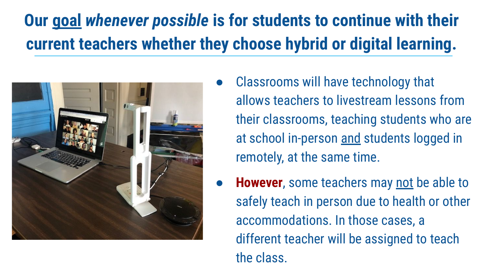#### **Our goal** *whenever possible* **is for students to continue with their current teachers whether they choose hybrid or digital learning.**



- Classrooms will have technology that allows teachers to livestream lessons from their classrooms, teaching students who are at school in-person and students logged in remotely, at the same time.
- **However**, some teachers may not be able to safely teach in person due to health or other accommodations. In those cases, a different teacher will be assigned to teach the class.